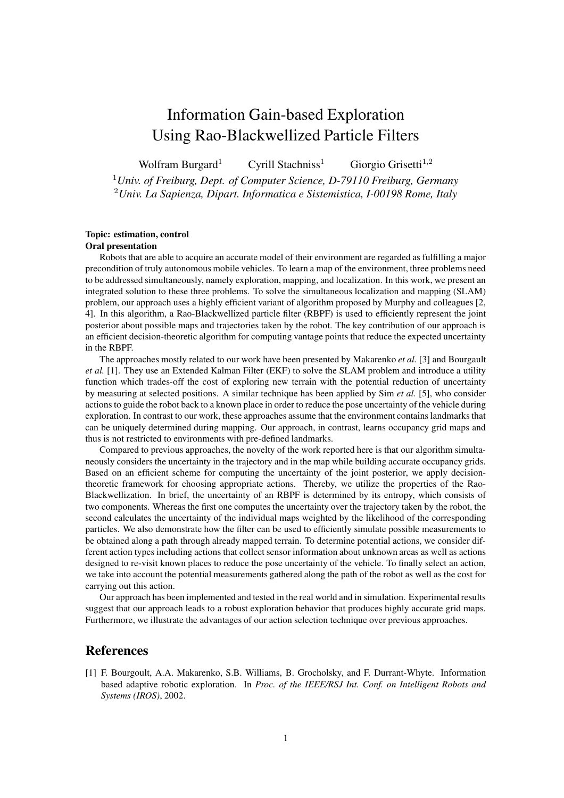## Information Gain-based Exploration Using Rao-Blackwellized Particle Filters

Wolfram Burgard<sup>1</sup> Cyrill Stachniss<sup>1</sup> Giorgio Grisetti<sup>1,2</sup> <sup>1</sup>*Univ. of Freiburg, Dept. of Computer Science, D-79110 Freiburg, Germany* <sup>2</sup>*Univ. La Sapienza, Dipart. Informatica e Sistemistica, I-00198 Rome, Italy*

## **Topic: estimation, control**

## **Oral presentation**

Robots that are able to acquire an accurate model of their environment are regarded as fulfilling a major precondition of truly autonomous mobile vehicles. To learn a map of the environment, three problems need to be addressed simultaneously, namely exploration, mapping, and localization. In this work, we present an integrated solution to these three problems. To solve the simultaneous localization and mapping (SLAM) problem, our approach uses a highly efficient variant of algorithm proposed by Murphy and colleagues [2, 4]. In this algorithm, a Rao-Blackwellized particle filter (RBPF) is used to efficiently represent the joint posterior about possible maps and trajectories taken by the robot. The key contribution of our approach is an efficient decision-theoretic algorithm for computing vantage points that reduce the expected uncertainty in the RBPF.

The approaches mostly related to our work have been presented by Makarenko *et al.* [3] and Bourgault *et al.* [1]. They use an Extended Kalman Filter (EKF) to solve the SLAM problem and introduce a utility function which trades-off the cost of exploring new terrain with the potential reduction of uncertainty by measuring at selected positions. A similar technique has been applied by Sim *et al.* [5], who consider actions to guide the robot back to a known place in order to reduce the pose uncertainty of the vehicle during exploration. In contrast to our work, these approaches assume that the environment contains landmarks that can be uniquely determined during mapping. Our approach, in contrast, learns occupancy grid maps and thus is not restricted to environments with pre-defined landmarks.

Compared to previous approaches, the novelty of the work reported here is that our algorithm simultaneously considers the uncertainty in the trajectory and in the map while building accurate occupancy grids. Based on an efficient scheme for computing the uncertainty of the joint posterior, we apply decisiontheoretic framework for choosing appropriate actions. Thereby, we utilize the properties of the Rao-Blackwellization. In brief, the uncertainty of an RBPF is determined by its entropy, which consists of two components. Whereas the first one computes the uncertainty over the trajectory taken by the robot, the second calculates the uncertainty of the individual maps weighted by the likelihood of the corresponding particles. We also demonstrate how the filter can be used to efficiently simulate possible measurements to be obtained along a path through already mapped terrain. To determine potential actions, we consider different action types including actions that collect sensor information about unknown areas as well as actions designed to re-visit known places to reduce the pose uncertainty of the vehicle. To finally select an action, we take into account the potential measurements gathered along the path of the robot as well as the cost for carrying out this action.

Our approach has been implemented and tested in the real world and in simulation. Experimental results suggest that our approach leads to a robust exploration behavior that produces highly accurate grid maps. Furthermore, we illustrate the advantages of our action selection technique over previous approaches.

## **References**

[1] F. Bourgoult, A.A. Makarenko, S.B. Williams, B. Grocholsky, and F. Durrant-Whyte. Information based adaptive robotic exploration. In *Proc. of the IEEE/RSJ Int. Conf. on Intelligent Robots and Systems (IROS)*, 2002.